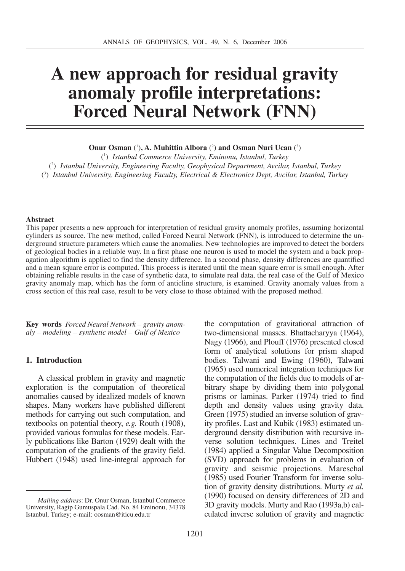# **A new approach for residual gravity anomaly profile interpretations: Forced Neural Network (FNN)**

**Onur Osman** (<sup>1</sup>), **A. Muhittin Albora** (<sup>2</sup>) **and Osman Nuri Ucan** (<sup>3</sup>)

( 1 ) *Istanbul Commerce University, Eminonu, Istanbul, Turkey* ( 2 ) *Istanbul University, Engineering Faculty, Geophysical Department, Avcilar, Istanbul, Turkey* ( 3 ) *Istanbul University, Engineering Faculty, Electrical & Electronics Dept, Avcilar, Istanbul, Turkey*

#### **Abstract**

This paper presents a new approach for interpretation of residual gravity anomaly profiles, assuming horizontal cylinders as source. The new method, called Forced Neural Network (FNN), is introduced to determine the underground structure parameters which cause the anomalies. New technologies are improved to detect the borders of geological bodies in a reliable way. In a first phase one neuron is used to model the system and a back propagation algorithm is applied to find the density difference. In a second phase, density differences are quantified and a mean square error is computed. This process is iterated until the mean square error is small enough. After obtaining reliable results in the case of synthetic data, to simulate real data, the real case of the Gulf of Mexico gravity anomaly map, which has the form of anticline structure, is examined. Gravity anomaly values from a cross section of this real case, result to be very close to those obtained with the proposed method.

**Key words** *Forced Neural Network – gravity anomaly – modeling – synthetic model – Gulf of Mexico*

## **1. Introduction**

A classical problem in gravity and magnetic exploration is the computation of theoretical anomalies caused by idealized models of known shapes. Many workers have published different methods for carrying out such computation, and textbooks on potential theory, *e.g.* Routh (1908), provided various formulas for these models. Early publications like Barton (1929) dealt with the computation of the gradients of the gravity field. Hubbert (1948) used line-integral approach for the computation of gravitational attraction of two-dimensional masses. Bhattacharyya (1964), Nagy (1966), and Plouff (1976) presented closed form of analytical solutions for prism shaped bodies. Talwani and Ewing (1960), Talwani (1965) used numerical integration techniques for the computation of the fields due to models of arbitrary shape by dividing them into polygonal prisms or laminas. Parker (1974) tried to find depth and density values using gravity data. Green (1975) studied an inverse solution of gravity profiles. Last and Kubik (1983) estimated underground density distribution with recursive inverse solution techniques. Lines and Treitel (1984) applied a Singular Value Decomposition (SVD) approach for problems in evaluation of gravity and seismic projections. Mareschal (1985) used Fourier Transform for inverse solution of gravity density distributions. Murty *et al.* (1990) focused on density differences of 2D and 3D gravity models. Murty and Rao (1993a,b) calculated inverse solution of gravity and magnetic

*Mailing address*: Dr. Onur Osman, Istanbul Commerce University, Ragip Gumuspala Cad. No. 84 Eminonu, 34378 Istanbul, Turkey; e-mail: oosman@iticu.edu.tr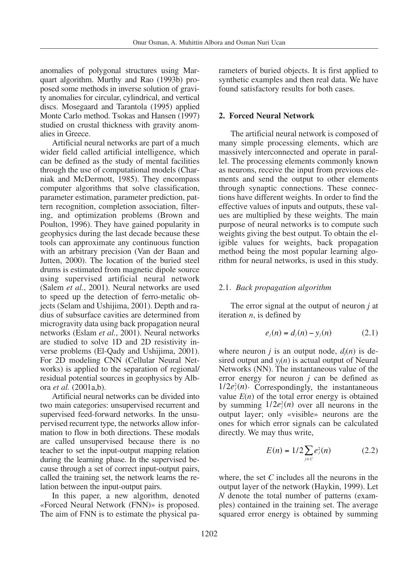anomalies of polygonal structures using Marquart algorithm. Murthy and Rao (1993b) proposed some methods in inverse solution of gravity anomalies for circular, cylindrical, and vertical discs. Mosegaard and Tarantola (1995) applied Monte Carlo method. Tsokas and Hansen (1997) studied on crustal thickness with gravity anomalies in Greece.

Artificial neural networks are part of a much wider field called artificial intelligence, which can be defined as the study of mental facilities through the use of computational models (Charniak and McDermott, 1985). They encompass computer algorithms that solve classification, parameter estimation, parameter prediction, pattern recognition, completion association, filtering, and optimization problems (Brown and Poulton, 1996). They have gained popularity in geophysics during the last decade because these tools can approximate any continuous function with an arbitrary precision (Van der Baan and Jutten, 2000). The location of the buried steel drums is estimated from magnetic dipole source using supervised artificial neural network (Salem *et al.*, 2001). Neural networks are used to speed up the detection of ferro-metalic objects (Selam and Ushijima, 2001). Depth and radius of subsurface cavities are determined from microgravity data using back propagation neural networks (Eslam *et al.*, 2001). Neural networks are studied to solve 1D and 2D resistivity inverse problems (El-Qady and Ushijima, 2001). For 2D modeling CNN (Cellular Neural Networks) is applied to the separation of regional/ residual potential sources in geophysics by Albora *et al.* (2001a,b).

Artificial neural networks can be divided into two main categories: unsupervised recurrent and supervised feed-forward networks. In the unsupervised recurrent type, the networks allow information to flow in both directions. These modals are called unsupervised because there is no teacher to set the input-output mapping relation during the learning phase. In the supervised because through a set of correct input-output pairs, called the training set, the network learns the relation between the input-output pairs.

In this paper, a new algorithm, denoted «Forced Neural Network (FNN)» is proposed. The aim of FNN is to estimate the physical parameters of buried objects. It is first applied to synthetic examples and then real data. We have found satisfactory results for both cases.

## **2. Forced Neural Network**

The artificial neural network is composed of many simple processing elements, which are massively interconnected and operate in parallel. The processing elements commonly known as neurons, receive the input from previous elements and send the output to other elements through synaptic connections. These connections have different weights. In order to find the effective values of inputs and outputs, these values are multiplied by these weights. The main purpose of neural networks is to compute such weights giving the best output. To obtain the eligible values for weights, back propagation method being the most popular learning algorithm for neural networks, is used in this study.

## 2.1. *Back propagation algorithm*

The error signal at the output of neuron *j* at iteration *n*, is defined by

$$
e_j(n) = d_j(n) - y_j(n)
$$
 (2.1)

where neuron *j* is an output node,  $d_i(n)$  is desired output and  $y_i(n)$  is actual output of Neural Networks (NN). The instantaneous value of the error energy for neuron *j* can be defined as  $1/2e_j^2(n)$ . Correspondingly, the instantaneous value  $E(n)$  of the total error energy is obtained by summing  $1/2e_j^2(n)$  over all neurons in the output layer; only «visible» neurons are the ones for which error signals can be calculated directly. We may thus write,

$$
E(n) = 1/2 \sum_{j \in C} e_j^2(n) \tag{2.2}
$$

where, the set *C* includes all the neurons in the output layer of the network (Haykin, 1999). Let *N* denote the total number of patterns (examples) contained in the training set. The average squared error energy is obtained by summing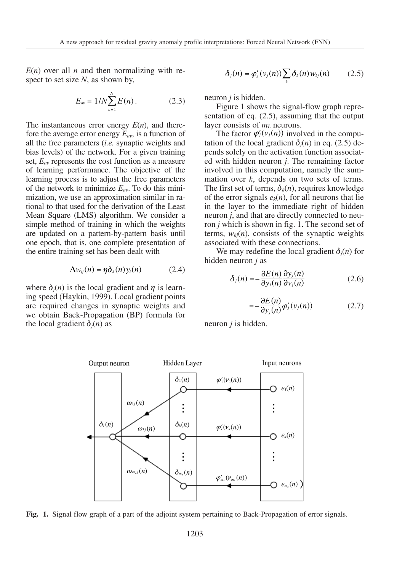$E(n)$  over all *n* and then normalizing with respect to set size *N*, as shown by,

$$
E_{av} = 1/N \sum_{n=1}^{N} E(n) \,.
$$
 (2.3)

The instantaneous error energy *E*(*n*), and therefore the average error energy  $E_{av}$ , is a function of all the free parameters (*i.e.* synaptic weights and bias levels) of the network. For a given training set, *Eav* represents the cost function as a measure of learning performance. The objective of the learning process is to adjust the free parameters of the network to minimize  $E_{av}$ . To do this minimization, we use an approximation similar in rational to that used for the derivation of the Least Mean Square (LMS) algorithm. We consider a simple method of training in which the weights are updated on a pattern-by-pattern basis until one epoch, that is, one complete presentation of the entire training set has been dealt with

$$
\Delta w_{ij}(n) = \eta \delta_j(n) y_i(n) \qquad (2.4)
$$

where  $\delta_i(n)$  is the local gradient and  $\eta$  is learning speed (Haykin, 1999). Local gradient points are required changes in synaptic weights and we obtain Back-Propagation (BP) formula for the local gradient  $\delta_i(n)$  as

$$
\delta_j(n) = \varphi_j'(v_j(n)) \sum_k \delta_k(n) w_{kj}(n) \qquad (2.5)
$$

neuron *j* is hidden.

Figure 1 shows the signal-flow graph representation of eq. (2.5), assuming that the output layer consists of  $m_l$  neurons.

The factor  $\varphi'_j(v_j(n))$  involved in the computation of the local gradient  $\delta_i(n)$  in eq. (2.5) depends solely on the activation function associated with hidden neuron *j*. The remaining factor involved in this computation, namely the summation over *k*, depends on two sets of terms. The first set of terms,  $\delta_k(n)$ , requires knowledge of the error signals  $e_k(n)$ , for all neurons that lie in the layer to the immediate right of hidden neuron *j*, and that are directly connected to neuron *j* which is shown in fig. 1. The second set of terms,  $w_k(n)$ , consists of the synaptic weights associated with these connections.

We may redefine the local gradient  $\delta_i(n)$  for hidden neuron *j* as

$$
\delta_j(n) = -\frac{\partial E(n)}{\partial y_j(n)} \frac{\partial y_j(n)}{\partial v_j(n)} \tag{2.6}
$$

$$
=-\frac{\partial E(n)}{\partial y_j(n)}\varphi'_j(v_j(n))\tag{2.7}
$$

neuron *j* is hidden.



**Fig. 1.** Signal flow graph of a part of the adjoint system pertaining to Back-Propagation of error signals.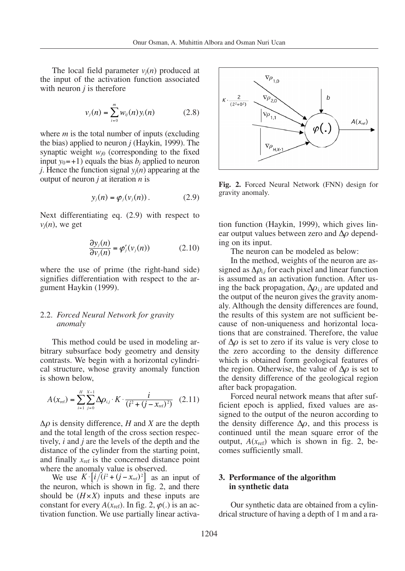The local field parameter  $v_i(n)$  produced at the input of the activation function associated with neuron *j* is therefore

$$
v_j(n) = \sum_{i=0}^{m} w_{ij}(n) y_i(n)
$$
 (2.8)

where *m* is the total number of inputs (excluding the bias) applied to neuron *j* (Haykin, 1999). The synaptic weight  $w_{i0}$  (corresponding to the fixed input  $y_0 = +1$ ) equals the bias  $b_i$  applied to neuron *j*. Hence the function signal  $y_i(n)$  appearing at the output of neuron *j* at iteration *n* is

$$
y_j(n) = \varphi_j(v_j(n)). \qquad (2.9)
$$

Next differentiating eq. (2.9) with respect to  $v_i(n)$ , we get

$$
\frac{\partial y_j(n)}{\partial v_j(n)} = \varphi'_j(v_j(n)) \tag{2.10}
$$

where the use of prime (the right-hand side) signifies differentiation with respect to the argument Haykin (1999).

## 2.2. *Forced Neural Network for gravity anomaly*

This method could be used in modeling arbitrary subsurface body geometry and density contrasts. We begin with a horizontal cylindrical structure, whose gravity anomaly function is shown below,

$$
A(x_{\text{ref}}) = \sum_{i=1}^{H} \sum_{j=0}^{X-1} \Delta \rho_{i,j} \cdot K \cdot \frac{i}{(i^2 + (j - x_{\text{ref}})^2)} \quad (2.11)
$$

∆<sup>ρ</sup> is density difference, *H* and *X* are the depth and the total length of the cross section respectively, *i* and *j* are the levels of the depth and the distance of the cylinder from the starting point, and finally  $x_{ref}$  is the concerned distance point where the anomaly value is observed.

We use  $K \cdot [i/(i^2 + (j - x_{ref})^2)]$  as an input of the neuron, which is shown in fig. 2, and there should be (*H*×*X*) inputs and these inputs are constant for every  $A(x_{ref})$ . In fig. 2,  $\varphi(.)$  is an activation function. We use partially linear activa-



**Fig. 2.** Forced Neural Network (FNN) design for gravity anomaly.

tion function (Haykin, 1999), which gives linear output values between zero and ∆ρ depending on its input.

The neuron can be modeled as below:

In the method, weights of the neuron are assigned as  $\Delta \rho_{i,j}$  for each pixel and linear function is assumed as an activation function. After using the back propagation,  $\Delta \rho_{i,j}$  are updated and the output of the neuron gives the gravity anomaly. Although the density differences are found, the results of this system are not sufficient because of non-uniqueness and horizontal locations that are constrained. Therefore, the value of  $\Delta \rho$  is set to zero if its value is very close to the zero according to the density difference which is obtained form geological features of the region. Otherwise, the value of  $\Delta \rho$  is set to the density difference of the geological region after back propagation.

Forced neural network means that after sufficient epoch is applied, fixed values are assigned to the output of the neuron according to the density difference  $\Delta \rho$ , and this process is continued until the mean square error of the output,  $A(x_{ref})$  which is shown in fig. 2, becomes sufficiently small.

## **3. Performance of the algorithm in synthetic data**

Our synthetic data are obtained from a cylindrical structure of having a depth of 1 m and a ra-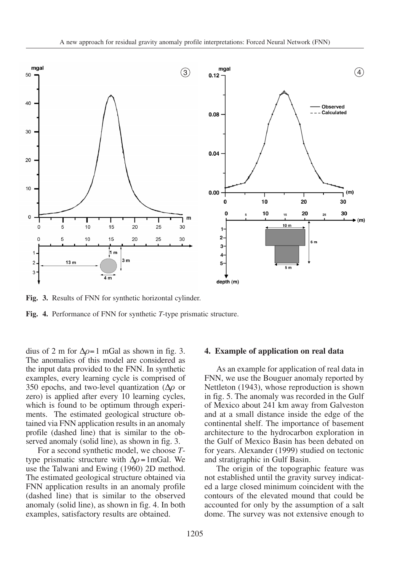

**Fig. 3.** Results of FNN for synthetic horizontal cylinder.

**Fig. 4.** Performance of FNN for synthetic *T*-type prismatic structure.

dius of 2 m for  $\Delta \rho = 1$  mGal as shown in fig. 3. The anomalies of this model are considered as the input data provided to the FNN. In synthetic examples, every learning cycle is comprised of 350 epochs, and two-level quantization ( $\Delta \rho$  or zero) is applied after every 10 learning cycles, which is found to be optimum through experiments. The estimated geological structure obtained via FNN application results in an anomaly profile (dashed line) that is similar to the observed anomaly (solid line), as shown in fig. 3.

For a second synthetic model, we choose *T*type prismatic structure with  $\Delta \rho = 1 \text{ mGal}$ . We use the Talwani and Ewing (1960) 2D method. The estimated geological structure obtained via FNN application results in an anomaly profile (dashed line) that is similar to the observed anomaly (solid line), as shown in fig. 4. In both examples, satisfactory results are obtained.

#### **4. Example of application on real data**

As an example for application of real data in FNN, we use the Bouguer anomaly reported by Nettleton (1943), whose reproduction is shown in fig. 5. The anomaly was recorded in the Gulf of Mexico about 241 km away from Galveston and at a small distance inside the edge of the continental shelf. The importance of basement architecture to the hydrocarbon exploration in the Gulf of Mexico Basin has been debated on for years. Alexander (1999) studied on tectonic and stratigraphic in Gulf Basin.

The origin of the topographic feature was not established until the gravity survey indicated a large closed minimum coincident with the contours of the elevated mound that could be accounted for only by the assumption of a salt dome. The survey was not extensive enough to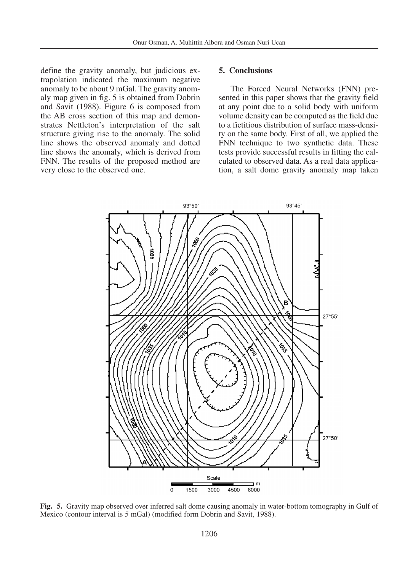define the gravity anomaly, but judicious extrapolation indicated the maximum negative anomaly to be about 9 mGal. The gravity anomaly map given in fig. 5 is obtained from Dobrin and Savit (1988). Figure 6 is composed from the AB cross section of this map and demonstrates Nettleton's interpretation of the salt structure giving rise to the anomaly. The solid line shows the observed anomaly and dotted line shows the anomaly, which is derived from FNN. The results of the proposed method are very close to the observed one.

## **5. Conclusions**

The Forced Neural Networks (FNN) presented in this paper shows that the gravity field at any point due to a solid body with uniform volume density can be computed as the field due to a fictitious distribution of surface mass-density on the same body. First of all, we applied the FNN technique to two synthetic data. These tests provide successful results in fitting the calculated to observed data. As a real data application, a salt dome gravity anomaly map taken



**Fig. 5.** Gravity map observed over inferred salt dome causing anomaly in water-bottom tomography in Gulf of Mexico (contour interval is 5 mGal) (modified form Dobrin and Savit, 1988).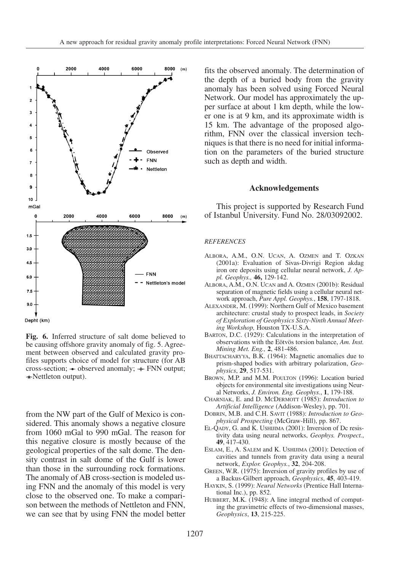

**Fig. 6.** Inferred structure of salt dome believed to be causing offshore gravity anomaly of fig. 5. Agreement between observed and calculated gravity profiles supports choice of model for structure (for AB cross-section;  $\triangle$  observed anomaly;  $+$  FNN output;  $\star$ Nettleton output).

from the NW part of the Gulf of Mexico is considered. This anomaly shows a negative closure from 1060 mGal to 990 mGal. The reason for this negative closure is mostly because of the geological properties of the salt dome. The density contrast in salt dome of the Gulf is lower than those in the surrounding rock formations. The anomaly of AB cross-section is modeled using FNN and the anomaly of this model is very close to the observed one. To make a comparison between the methods of Nettleton and FNN, we can see that by using FNN the model better fits the observed anomaly. The determination of the depth of a buried body from the gravity anomaly has been solved using Forced Neural Network. Our model has approximately the upper surface at about 1 km depth, while the lower one is at 9 km, and its approximate width is 15 km. The advantage of the proposed algorithm, FNN over the classical inversion techniques is that there is no need for initial information on the parameters of the buried structure such as depth and width.

#### **Acknowledgements**

This project is supported by Research Fund of Istanbul University. Fund No. 28/03092002.

#### *REFERENCES*

- ALBORA, A.M., O.N. UCAN, A. OZMEN and T. OZKAN (2001a): Evaluation of Sivas-Divrigi Region akdag iron ore deposits using cellular neural network, *J. Appl. Geophys.,* **46,** 129-142.
- ALBORA, A.M., O.N. UCAN and A. OZMEN (2001b): Residual separation of magnetic fields using a cellular neural network approach, *Pure Appl. Geophys.*, **158**, 1797-1818.
- ALEXANDER, M. (1999): Northern Gulf of Mexico basement architecture: crustal study to prospect leads, in *Society of Exploration of Geophysics Sixty-Ninth Annual Meeting Workshop,* Houston TX-U.S.A.
- BARTON, D.C. (1929): Calculations in the interpretation of observations with the Eötvös torsion balance, *Am. Inst. Mining Met. Eng.,* **2**, 481-486.
- BHATTACHARYYA, B.K. (1964): Magnetic anomalies due to prism-shaped bodies with arbitrary polarization, *Geophysics*, **29**, 517-531.
- BROWN, M.P. and M.M. POULTON (1996): Location buried objects for environmental site investigations using Neural Networks, *J. Environ. Eng. Geophys.*, **1**, 179-188.
- CHARNIAK, E. and D. MCDERMOTT (1985): *Introduction to Artificial Intelligence* (Addison-Wesley), pp. 701.
- DOBRIN, M.B. and C.H. SAVIT (1988): *Introduction to Geophysical Prospecting* (McGraw-Hill), pp. 867.
- EL-QADY, G. and K. USHIJIMA (2001): Inversion of Dc resistivity data using neural networks, *Geophys. Prospect.*, **49**, 417-430.
- ESLAM, E., A. SALEM and K. USHIJIMA (2001): Detection of cavities and tunnels from gravity data using a neural network, *Explor. Geophys.*, **32**, 204-208.
- GREEN, W.R. (1975): Inversion of gravity profiles by use of a Backus-Gilbert approach, *Geophysics*, **45**, 403-419.
- HAYKIN, S. (1999): *Neural Networks* (Prentice Hall International Inc.), pp. 852.
- HUBBERT, M.K. (1948): A line integral method of computing the gravimetric effects of two-dimensional masses, *Geophysics*, **13**, 215-225.